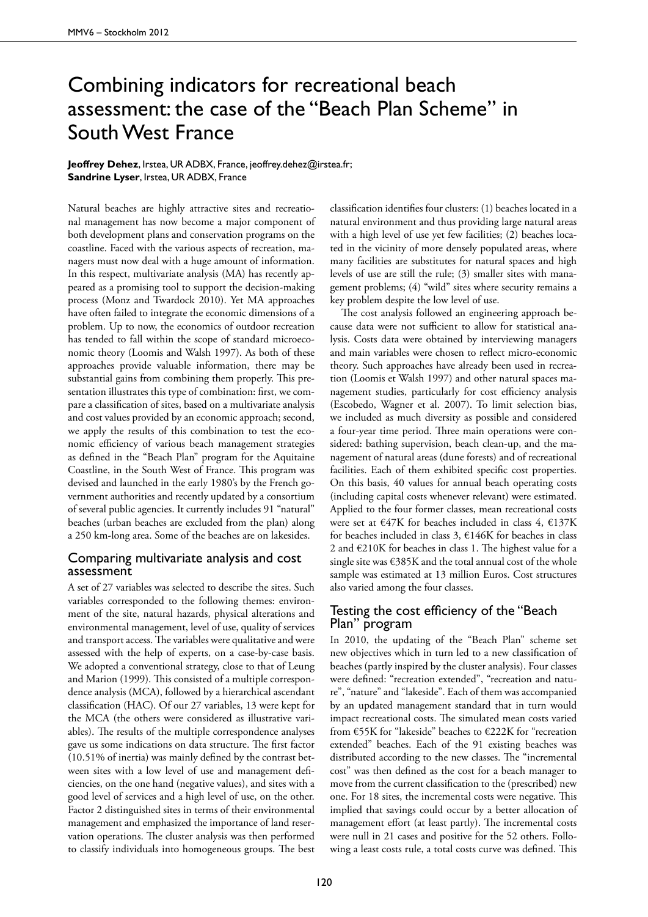## Combining indicators for recreational beach assessment: the case of the "Beach Plan Scheme" in South West France

**Jeoffrey Dehez**, Irstea, UR ADBX, France, jeoffrey.dehez@irstea.fr; **Sandrine Lyser**, Irstea, UR ADBX, France

Natural beaches are highly attractive sites and recreational management has now become a major component of both development plans and conservation programs on the coastline. Faced with the various aspects of recreation, managers must now deal with a huge amount of information. In this respect, multivariate analysis (MA) has recently appeared as a promising tool to support the decision-making process (Monz and Twardock 2010). Yet MA approaches have often failed to integrate the economic dimensions of a problem. Up to now, the economics of outdoor recreation has tended to fall within the scope of standard microeconomic theory (Loomis and Walsh 1997). As both of these approaches provide valuable information, there may be substantial gains from combining them properly. This presentation illustrates this type of combination: first, we compare a classification of sites, based on a multivariate analysis and cost values provided by an economic approach; second, we apply the results of this combination to test the economic efficiency of various beach management strategies as defined in the "Beach Plan" program for the Aquitaine Coastline, in the South West of France. This program was devised and launched in the early 1980's by the French government authorities and recently updated by a consortium of several public agencies. It currently includes 91 "natural" beaches (urban beaches are excluded from the plan) along a 250 km-long area. Some of the beaches are on lakesides.

## Comparing multivariate analysis and cost assessment

A set of 27 variables was selected to describe the sites. Such variables corresponded to the following themes: environment of the site, natural hazards, physical alterations and environmental management, level of use, quality of services and transport access. The variables were qualitative and were assessed with the help of experts, on a case-by-case basis. We adopted a conventional strategy, close to that of Leung and Marion (1999). This consisted of a multiple correspondence analysis (MCA), followed by a hierarchical ascendant classification (HAC). Of our 27 variables, 13 were kept for the MCA (the others were considered as illustrative variables). The results of the multiple correspondence analyses gave us some indications on data structure. The first factor (10.51% of inertia) was mainly defined by the contrast between sites with a low level of use and management deficiencies, on the one hand (negative values), and sites with a good level of services and a high level of use, on the other. Factor 2 distinguished sites in terms of their environmental management and emphasized the importance of land reservation operations. The cluster analysis was then performed to classify individuals into homogeneous groups. The best classification identifies four clusters: (1) beaches located in a natural environment and thus providing large natural areas with a high level of use yet few facilities; (2) beaches located in the vicinity of more densely populated areas, where many facilities are substitutes for natural spaces and high levels of use are still the rule; (3) smaller sites with management problems; (4) "wild" sites where security remains a key problem despite the low level of use.

The cost analysis followed an engineering approach because data were not sufficient to allow for statistical analysis. Costs data were obtained by interviewing managers and main variables were chosen to reflect micro-economic theory. Such approaches have already been used in recreation (Loomis et Walsh 1997) and other natural spaces management studies, particularly for cost efficiency analysis (Escobedo, Wagner et al. 2007). To limit selection bias, we included as much diversity as possible and considered a four-year time period. Three main operations were considered: bathing supervision, beach clean-up, and the management of natural areas (dune forests) and of recreational facilities. Each of them exhibited specific cost properties. On this basis, 40 values for annual beach operating costs (including capital costs whenever relevant) were estimated. Applied to the four former classes, mean recreational costs were set at  $\epsilon$ 47K for beaches included in class 4,  $\epsilon$ 137K for beaches included in class 3,  $\epsilon$ 146K for beaches in class 2 and €210K for beaches in class 1. The highest value for a single site was  $\epsilon$ 385K and the total annual cost of the whole sample was estimated at 13 million Euros. Cost structures also varied among the four classes.

## Testing the cost efficiency of the "Beach Plan" program

In 2010, the updating of the "Beach Plan" scheme set new objectives which in turn led to a new classification of beaches (partly inspired by the cluster analysis). Four classes were defined: "recreation extended", "recreation and nature", "nature" and "lakeside". Each of them was accompanied by an updated management standard that in turn would impact recreational costs. The simulated mean costs varied from €55K for "lakeside" beaches to €222K for "recreation extended" beaches. Each of the 91 existing beaches was distributed according to the new classes. The "incremental cost" was then defined as the cost for a beach manager to move from the current classification to the (prescribed) new one. For 18 sites, the incremental costs were negative. This implied that savings could occur by a better allocation of management effort (at least partly). The incremental costs were null in 21 cases and positive for the 52 others. Following a least costs rule, a total costs curve was defined. This